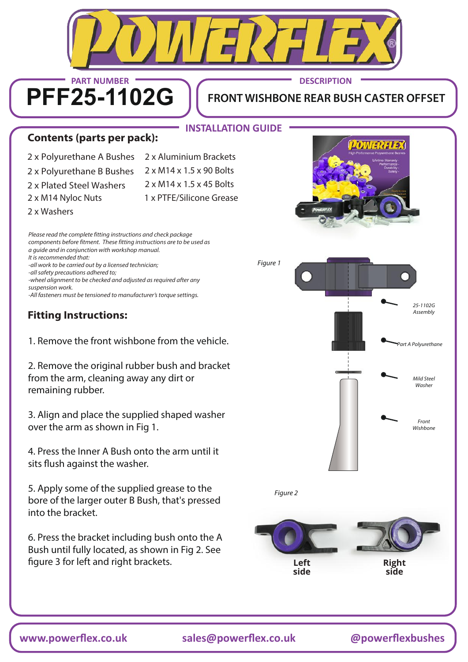

**www.powerflex.co.uk sales@powerflex.co.uk @powerflexbushes**